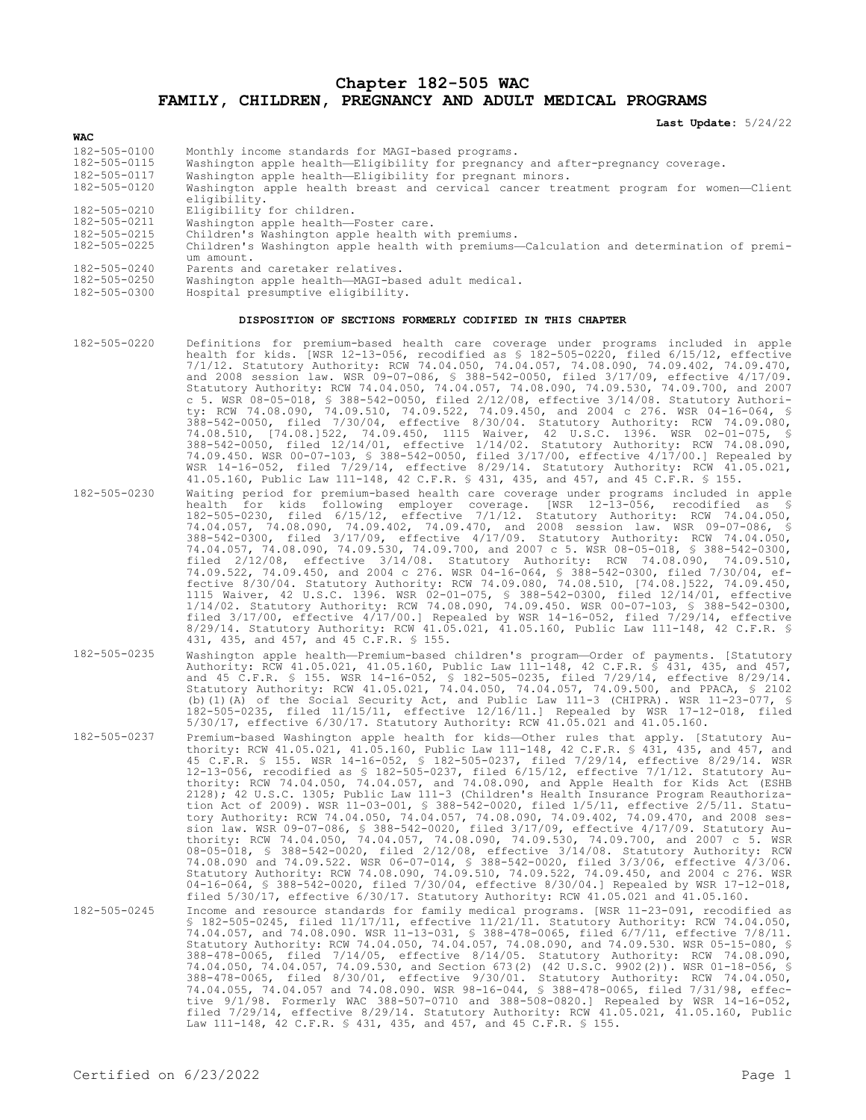**Chapter 182-505 WAC FAMILY, CHILDREN, PREGNANCY AND ADULT MEDICAL PROGRAMS**

**Last Update:** 5/24/22

| <b>WAC</b>         |                                                                                                        |  |  |  |  |  |  |  |  |
|--------------------|--------------------------------------------------------------------------------------------------------|--|--|--|--|--|--|--|--|
| 182-505-0100       | Monthly income standards for MAGI-based programs.                                                      |  |  |  |  |  |  |  |  |
| 182-505-0115       | Washington apple health-Eligibility for pregnancy and after-pregnancy coverage.                        |  |  |  |  |  |  |  |  |
| 182-505-0117       | Washington apple health-Eligibility for pregnant minors.                                               |  |  |  |  |  |  |  |  |
| 182-505-0120       | Washington apple health breast and cervical cancer treatment program for women-Client<br>eligibility.  |  |  |  |  |  |  |  |  |
| 182-505-0210       | Eligibility for children.                                                                              |  |  |  |  |  |  |  |  |
| 182-505-0211       | Washington apple health-Foster care.                                                                   |  |  |  |  |  |  |  |  |
| 182-505-0215       | Children's Washington apple health with premiums.                                                      |  |  |  |  |  |  |  |  |
| $182 - 505 - 0225$ | Children's Washington apple health with premiums-Calculation and determination of premi-<br>um amount. |  |  |  |  |  |  |  |  |
| $182 - 505 - 0240$ | Parents and caretaker relatives.                                                                       |  |  |  |  |  |  |  |  |
| 182-505-0250       | Washington apple health-MAGI-based adult medical.                                                      |  |  |  |  |  |  |  |  |
| 182-505-0300       | Hospital presumptive eligibility.                                                                      |  |  |  |  |  |  |  |  |

## **DISPOSITION OF SECTIONS FORMERLY CODIFIED IN THIS CHAPTER**

- 182-505-0220 Definitions for premium-based health care coverage under programs included in apple health for kids. [WSR 12-13-056, recodified as § 182-505-0220, filed 6/15/12, effective 7/1/12. Statutory Authority: RCW 74.04.050, 74.04.057, 74.08.090, 74.09.402, 74.09.470, and 2008 session law. WSR 09-07-086, § 388-542-0050, filed 3/17/09, effective 4/17/09. Statutory Authority: RCW 74.04.050, 74.04.057, 74.08.090, 74.09.530, 74.09.700, and 2007 c 5. WSR 08-05-018, § 388-542-0050, filed 2/12/08, effective 3/14/08. Statutory Authority: RCW 74.08.090, 74.09.510, 74.09.522, 74.09.450, and 2004 c 276. WSR 04-16-064, § 388-542-0050, filed 7/30/04, effective 8/30/04. Statutory Authority: RCW 74.09.080, 74.08.510, [74.08.]522, 74.09.450, 1115 Waiver, 42 U.S.C. 1396. WSR 02-01-075, § 388-542-0050, filed 12/14/01, effective 1/14/02. Statutory Authority: RCW 74.08.090, 74.09.450. WSR 00-07-103, § 388-542-0050, filed 3/17/00, effective 4/17/00.] Repealed by WSR 14-16-052, filed 7/29/14, effective 8/29/14. Statutory Authority: RCW 41.05.021, 41.05.160, Public Law 111-148, 42 C.F.R. § 431, 435, and 457, and 45 C.F.R. § 155.
- 182-505-0230 Waiting period for premium-based health care coverage under programs included in apple health for kids following employer coverage. [WSR 12-13-056, recodified as § 182-505-0230, filed 6/15/12, effective 7/1/12. Statutory Authority: RCW 74.04.050, 74.04.057, 74.08.090, 74.09.402, 74.09.470, and 2008 session law. WSR 09-07-086, § 388-542-0300, filed 3/17/09, effective 4/17/09. Statutory Authority: RCW 74.04.050, 74.04.057, 74.08.090, 74.09.530, 74.09.700, and 2007 c 5. WSR 08-05-018, § 388-542-0300, filed 2/12/08, effective 3/14/08. Statutory Authority: RCW 74.08.090, 74.09.510, 74.09.522, 74.09.450, and 2004 c 276. WSR 04-16-064, § 388-542-0300, filed 7/30/04, effective 8/30/04. Statutory Authority: RCW 74.09.080, 74.08.510, [74.08.]522, 74.09.450, 1115 Waiver, 42 U.S.C. 1396. WSR 02-01-075, § 388-542-0300, filed 12/14/01, effective 1/14/02. Statutory Authority: RCW 74.08.090, 74.09.450. WSR 00-07-103, § 388-542-0300, filed 3/17/00, effective 4/17/00.] Repealed by WSR 14-16-052, filed 7/29/14, effective 8/29/14. Statutory Authority: RCW 41.05.021, 41.05.160, Public Law 111-148, 42 C.F.R. § 431, 435, and 457, and 45 C.F.R. § 155.
- 182-505-0235 Washington apple health—Premium-based children's program—Order of payments. [Statutory Authority: RCW 41.05.021, 41.05.160, Public Law 111-148, 42 C.F.R. § 431, 435, and 457, and 45 C.F.R. § 155. WSR 14-16-052, § 182-505-0235, filed 7/29/14, effective 8/29/14. Statutory Authority: RCW 41.05.021, 74.04.050, 74.04.057, 74.09.500, and PPACA, § 2102 (b)(1)(A) of the Social Security Act, and Public Law 111-3 (CHIPRA). WSR 11-23-077, § 182-505-0235, filed 11/15/11, effective 12/16/11.] Repealed by WSR 17-12-018, filed 5/30/17, effective 6/30/17. Statutory Authority: RCW 41.05.021 and 41.05.160.
- 182-505-0237 Premium-based Washington apple health for kids—Other rules that apply. [Statutory Authority: RCW 41.05.021, 41.05.160, Public Law 111-148, 42 C.F.R. § 431, 435, and 457, and 45 C.F.R. § 155. WSR 14-16-052, § 182-505-0237, filed 7/29/14, effective 8/29/14. WSR 12-13-056, recodified as § 182-505-0237, filed 6/15/12, effective 7/1/12. Statutory Authority: RCW 74.04.050, 74.04.057, and 74.08.090, and Apple Health for Kids Act (ESHB 2128); 42 U.S.C. 1305; Public Law 111-3 (Children's Health Insurance Program Reauthorization Act of 2009). WSR 11-03-001, § 388-542-0020, filed 1/5/11, effective 2/5/11. Statutory Authority: RCW 74.04.050, 74.04.057, 74.08.090, 74.09.402, 74.09.470, and 2008 session law. WSR 09-07-086, § 388-542-0020, filed 3/17/09, effective 4/17/09. Statutory Authority: RCW 74.04.050, 74.04.057, 74.08.090, 74.09.530, 74.09.700, and 2007 c 5. WSR 08-05-018, § 388-542-0020, filed 2/12/08, effective 3/14/08. Statutory Authority: RCW 74.08.090 and 74.09.522. WSR 06-07-014, § 388-542-0020, filed 3/3/06, effective 4/3/06. Statutory Authority: RCW 74.08.090, 74.09.510, 74.09.522, 74.09.450, and 2004 c 276. WSR 04-16-064, § 388-542-0020, filed 7/30/04, effective 8/30/04.] Repealed by WSR 17-12-018, filed 5/30/17, effective 6/30/17. Statutory Authority: RCW 41.05.021 and 41.05.160.

182-505-0245 Income and resource standards for family medical programs. [WSR 11-23-091, recodified as § 182–505–0245, filed 11/17/11, effective 11/21/11. Statutory Authority: RCW 74.04.050,<br>74.04.057, and 74.08.090. WSR 11–13–031, § 388–478–0065, filed 6/7/11, effective 7/8/11.<br>Statutory Authority: RCW 74.04.050, 74.04.057 388-478-0065, filed 7/14/05, effective 8/14/05. Statutory Authority: RCW 74.08.090, 74.04.050, 74.04.057, 74.09.530, and Section 673(2) (42 U.S.C. 9902(2)). WSR 01-18-056, § 388-478-0065, filed 8/30/01, effective 9/30/01. Statutory Authority: RCW 74.04.050, 74.04.055, 74.04.057 and 74.08.090. WSR 98-16-044, § 388-478-0065, filed 7/31/98, effective 9/1/98. Formerly WAC 388-507-0710 and 388-508-0820.] Repealed by WSR 14-16-052, filed 7/29/14, effective 8/29/14. Statutory Authority: RCW 41.05.021, 41.05.160, Public Law 111-148, 42 C.F.R. § 431, 435, and 457, and 45 C.F.R. § 155.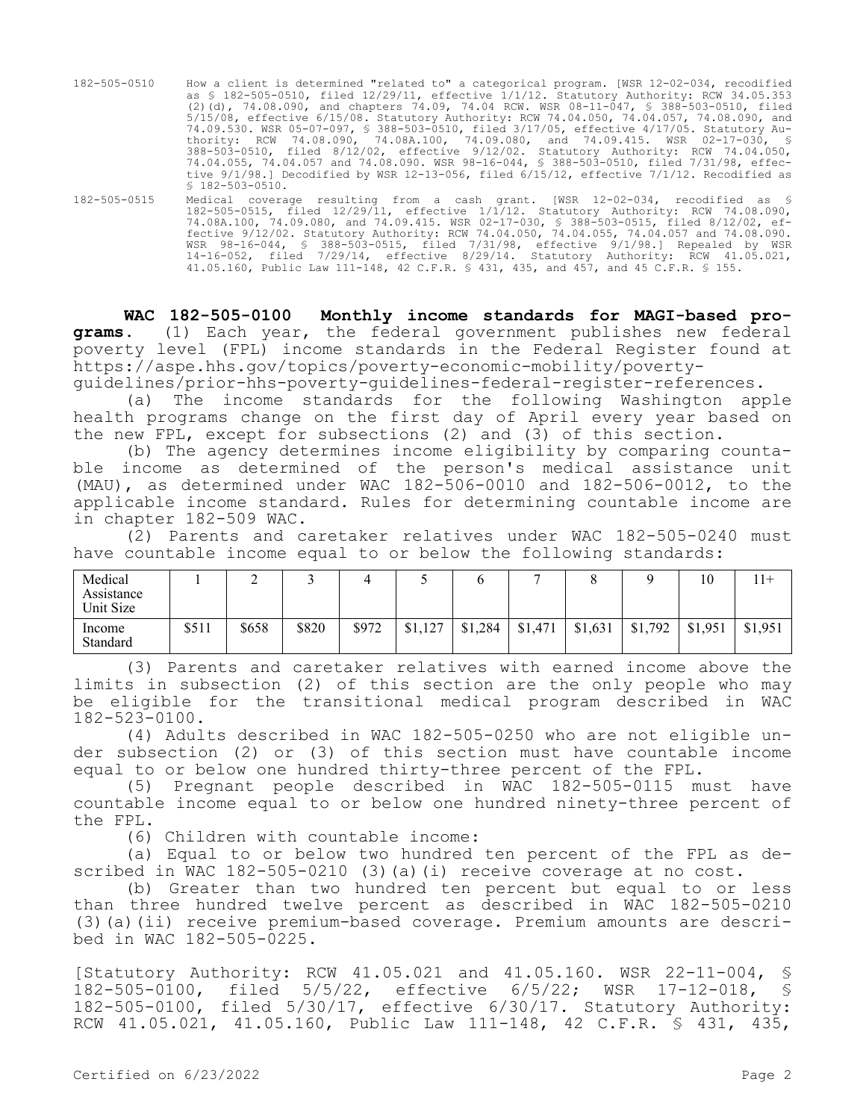| 182-505-0510 | How a client is determined "related to" a categorical program. [WSR 12-02-034, recodified<br>as § 182-505-0510, filed 12/29/11, effective 1/1/12. Statutory Authority: RCW 34.05.353<br>(2)(d), 74.08.090, and chapters 74.09, 74.04 RCW. WSR 08-11-047, § 388-503-0510, filed<br>5/15/08, effective 6/15/08. Statutory Authority: RCW 74.04.050, 74.04.057, 74.08.090, and<br>74.09.530. WSR 05-07-097, § 388-503-0510, filed 3/17/05, effective 4/17/05. Statutory Au- |
|--------------|--------------------------------------------------------------------------------------------------------------------------------------------------------------------------------------------------------------------------------------------------------------------------------------------------------------------------------------------------------------------------------------------------------------------------------------------------------------------------|
|              | thority: RCW 74.08.090, 74.08A.100, 74.09.080, and 74.09.415. WSR 02-17-030, §<br>388-503-0510, filed 8/12/02, effective 9/12/02. Statutory Authority: RCW 74.04.050,<br>74.04.055, 74.04.057 and 74.08.090. WSR 98-16-044, § 388-503-0510, filed 7/31/98, effec-<br>tive 9/1/98.] Decodified by WSR 12-13-056, filed 6/15/12, effective 7/1/12. Recodified as<br>$$182-503-0510.$                                                                                       |

182-505-0515 Medical coverage resulting from a cash grant. [WSR 12-02-034, recodified as § 182-505-0515, filed 12/29/11, effective 1/1/12. Statutory Authority: RCW 74.08.090, 74.08A.100, 74.09.080, and 74.09.415. WSR 02-17-030, § 388-503-0515, filed 8/12/02, effective 9/12/02. Statutory Authority: RCW 74.04.050, 74.04.055, 74.04.057 and 74.08.090. WSR 98-16-044, § 388-503-0515, filed 7/31/98, effective 9/1/98.] Repealed by WSR 14-16-052, filed 7/29/14, effective 8/29/14. Statutory Authority: RCW 41.05.021, 41.05.160, Public Law 111-148, 42 C.F.R. § 431, 435, and 457, and 45 C.F.R. § 155.

**WAC 182-505-0100 Monthly income standards for MAGI-based programs.** (1) Each year, the federal government publishes new federal poverty level (FPL) income standards in the Federal Register found at https://aspe.hhs.gov/topics/poverty-economic-mobility/poverty-

guidelines/prior-hhs-poverty-guidelines-federal-register-references.

(a) The income standards for the following Washington apple health programs change on the first day of April every year based on the new FPL, except for subsections (2) and (3) of this section.

(b) The agency determines income eligibility by comparing countable income as determined of the person's medical assistance unit (MAU), as determined under WAC 182-506-0010 and 182-506-0012, to the applicable income standard. Rules for determining countable income are in chapter 182-509 WAC.

(2) Parents and caretaker relatives under WAC 182-505-0240 must have countable income equal to or below the following standards:

| Medical<br>Assistance<br>Unit Size |       | <b>__</b> |       |       |         |         |         |         |         | 10      | 11+     |
|------------------------------------|-------|-----------|-------|-------|---------|---------|---------|---------|---------|---------|---------|
| Income<br>Standard                 | \$511 | \$658     | \$820 | \$972 | \$1,127 | \$1,284 | \$1,471 | \$1,631 | \$1,792 | \$1,951 | \$1,951 |

(3) Parents and caretaker relatives with earned income above the limits in subsection (2) of this section are the only people who may be eligible for the transitional medical program described in WAC 182-523-0100.

(4) Adults described in WAC 182-505-0250 who are not eligible under subsection (2) or (3) of this section must have countable income equal to or below one hundred thirty-three percent of the FPL.

(5) Pregnant people described in WAC 182-505-0115 must have countable income equal to or below one hundred ninety-three percent of the FPL.

(6) Children with countable income:

(a) Equal to or below two hundred ten percent of the FPL as described in WAC 182-505-0210 (3)(a)(i) receive coverage at no cost.

(b) Greater than two hundred ten percent but equal to or less than three hundred twelve percent as described in WAC 182-505-0210 (3)(a)(ii) receive premium-based coverage. Premium amounts are described in WAC 182-505-0225.

[Statutory Authority: RCW 41.05.021 and 41.05.160. WSR 22-11-004, § 182-505-0100, filed 5/5/22, effective 6/5/22; WSR 17-12-018, § 182-505-0100, filed 5/30/17, effective 6/30/17. Statutory Authority: RCW 41.05.021, 41.05.160, Public Law 111-148, 42 C.F.R. § 431, 435,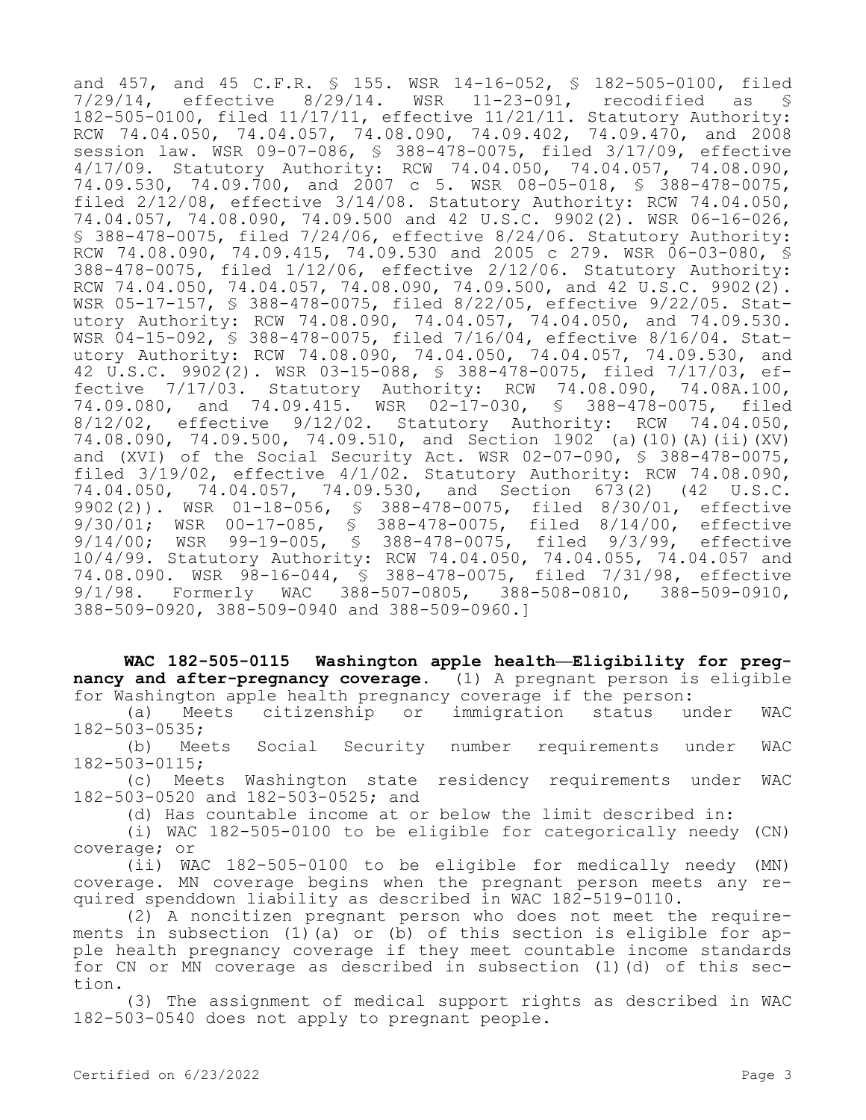and 457, and 45 C.F.R. \$ 155. WSR 14-16-052, \$ 182-505-0100, filed<br>7/29/14. effective 8/29/14. WSR 11-23-091, recodified as \$ effective 8/29/14. WSR 11-23-091, recodified as § 182-505-0100, filed 11/17/11, effective 11/21/11. Statutory Authority: RCW 74.04.050, 74.04.057, 74.08.090, 74.09.402, 74.09.470, and 2008 session law. WSR 09-07-086, § 388-478-0075, filed 3/17/09, effective 4/17/09. Statutory Authority: RCW 74.04.050, 74.04.057, 74.08.090, 74.09.530, 74.09.700, and 2007 c 5. WSR 08-05-018, § 388-478-0075, filed 2/12/08, effective 3/14/08. Statutory Authority: RCW 74.04.050, 74.04.057, 74.08.090, 74.09.500 and 42 U.S.C. 9902(2). WSR 06-16-026, § 388-478-0075, filed 7/24/06, effective 8/24/06. Statutory Authority: RCW 74.08.090, 74.09.415, 74.09.530 and 2005 c 279. WSR 06-03-080, \$ 388-478-0075, filed 1/12/06, effective 2/12/06. Statutory Authority: RCW 74.04.050, 74.04.057, 74.08.090, 74.09.500, and 42 U.S.C. 9902(2). WSR 05-17-157, § 388-478-0075, filed 8/22/05, effective 9/22/05. Statutory Authority: RCW 74.08.090, 74.04.057, 74.04.050, and 74.09.530. WSR 04-15-092, § 388-478-0075, filed 7/16/04, effective 8/16/04. Statutory Authority: RCW 74.08.090, 74.04.050, 74.04.057, 74.09.530, and 42 U.S.C. 9902(2). WSR 03-15-088, § 388-478-0075, filed 7/17/03, effective 7/17/03. Statutory Authority: RCW 74.08.090, 74.08A.100, 74.09.080, and 74.09.415. WSR 02-17-030, § 388-478-0075, filed 8/12/02, effective 9/12/02. Statutory Authority: RCW 74.04.050, 74.08.090, 74.09.500, 74.09.510, and Section 1902 (a)(10)(A)(ii)(XV) and (XVI) of the Social Security Act. WSR 02-07-090, § 388-478-0075, filed 3/19/02, effective 4/1/02. Statutory Authority: RCW 74.08.090, 74.04.050, 74.04.057, 74.09.530, and Section 673(2) (42 U.S.C. 9902(2)). WSR 01-18-056, § 388-478-0075, filed 8/30/01, effective 9/30/01; WSR 00-17-085, § 388-478-0075, filed 8/14/00, effective 9/14/00; WSR 99-19-005, § 388-478-0075, filed 9/3/99, effective 10/4/99. Statutory Authority: RCW 74.04.050, 74.04.055, 74.04.057 and 74.08.090. WSR 98-16-044, § 388-478-0075, filed 7/31/98, effective 9/1/98. Formerly WAC 388-507-0805, 388-508-0810, 388-509-0910, 388-509-0920, 388-509-0940 and 388-509-0960.]

**WAC 182-505-0115 Washington apple health—Eligibility for pregnancy and after-pregnancy coverage.** (1) A pregnant person is eligible for Washington apple health pregnancy coverage if the person:

(a) Meets citizenship or immigration status under WAC 182-503-0535;

(b) Meets Social Security number requirements under WAC 182-503-0115;

(c) Meets Washington state residency requirements under WAC 182-503-0520 and 182-503-0525; and

(d) Has countable income at or below the limit described in:

(i) WAC 182-505-0100 to be eligible for categorically needy (CN) coverage; or

(ii) WAC 182-505-0100 to be eligible for medically needy (MN) coverage. MN coverage begins when the pregnant person meets any required spenddown liability as described in WAC 182-519-0110.

(2) A noncitizen pregnant person who does not meet the requirements in subsection (1)(a) or (b) of this section is eligible for apple health pregnancy coverage if they meet countable income standards for CN or MN coverage as described in subsection (1)(d) of this section.

(3) The assignment of medical support rights as described in WAC 182-503-0540 does not apply to pregnant people.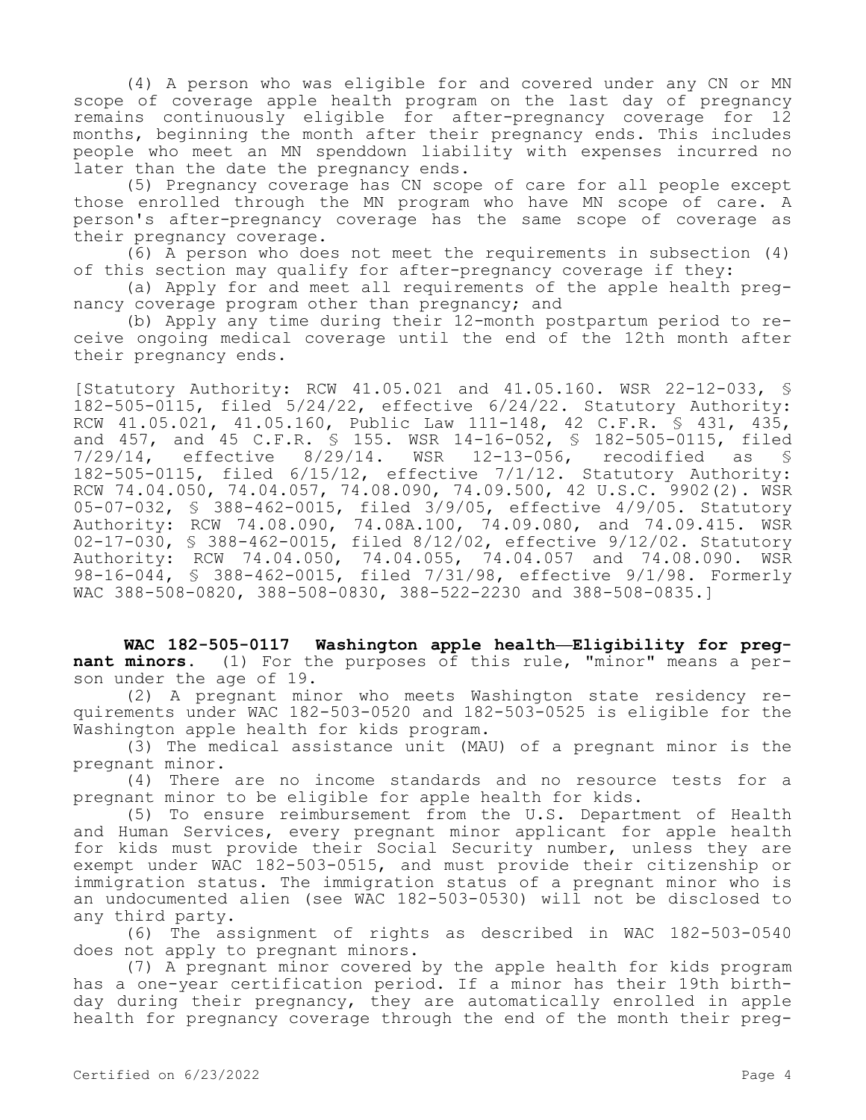(4) A person who was eligible for and covered under any CN or MN scope of coverage apple health program on the last day of pregnancy remains continuously eligible for after-pregnancy coverage for 12 months, beginning the month after their pregnancy ends. This includes people who meet an MN spenddown liability with expenses incurred no later than the date the pregnancy ends.

(5) Pregnancy coverage has CN scope of care for all people except those enrolled through the MN program who have MN scope of care. A person's after-pregnancy coverage has the same scope of coverage as their pregnancy coverage.

(6) A person who does not meet the requirements in subsection (4) of this section may qualify for after-pregnancy coverage if they:

(a) Apply for and meet all requirements of the apple health pregnancy coverage program other than pregnancy; and

(b) Apply any time during their 12-month postpartum period to receive ongoing medical coverage until the end of the 12th month after their pregnancy ends.

[Statutory Authority: RCW 41.05.021 and 41.05.160. WSR 22-12-033, § 182-505-0115, filed 5/24/22, effective 6/24/22. Statutory Authority: RCW 41.05.021, 41.05.160, Public Law 111-148, 42 C.F.R. § 431, 435, and 457, and 45 C.F.R. § 155. WSR 14-16-052, § 182-505-0115, filed 7/29/14, effective 8/29/14. WSR 12-13-056, recodified as § 182-505-0115, filed 6/15/12, effective 7/1/12. Statutory Authority: RCW 74.04.050, 74.04.057, 74.08.090, 74.09.500, 42 U.S.C. 9902(2). WSR 05-07-032, § 388-462-0015, filed 3/9/05, effective 4/9/05. Statutory Authority: RCW 74.08.090, 74.08A.100, 74.09.080, and 74.09.415. WSR 02-17-030, § 388-462-0015, filed 8/12/02, effective 9/12/02. Statutory Authority: RCW 74.04.050, 74.04.055, 74.04.057 and 74.08.090. WSR 98-16-044, § 388-462-0015, filed 7/31/98, effective 9/1/98. Formerly WAC 388-508-0820, 388-508-0830, 388-522-2230 and 388-508-0835.]

**WAC 182-505-0117 Washington apple health—Eligibility for pregnant minors.** (1) For the purposes of this rule, "minor" means a person under the age of 19.

(2) A pregnant minor who meets Washington state residency requirements under WAC 182-503-0520 and 182-503-0525 is eligible for the Washington apple health for kids program.

(3) The medical assistance unit (MAU) of a pregnant minor is the pregnant minor.

(4) There are no income standards and no resource tests for a pregnant minor to be eligible for apple health for kids.

(5) To ensure reimbursement from the U.S. Department of Health and Human Services, every pregnant minor applicant for apple health for kids must provide their Social Security number, unless they are exempt under WAC 182-503-0515, and must provide their citizenship or immigration status. The immigration status of a pregnant minor who is an undocumented alien (see WAC 182-503-0530) will not be disclosed to any third party.

(6) The assignment of rights as described in WAC 182-503-0540 does not apply to pregnant minors.

(7) A pregnant minor covered by the apple health for kids program has a one-year certification period. If a minor has their 19th birthday during their pregnancy, they are automatically enrolled in apple health for pregnancy coverage through the end of the month their preg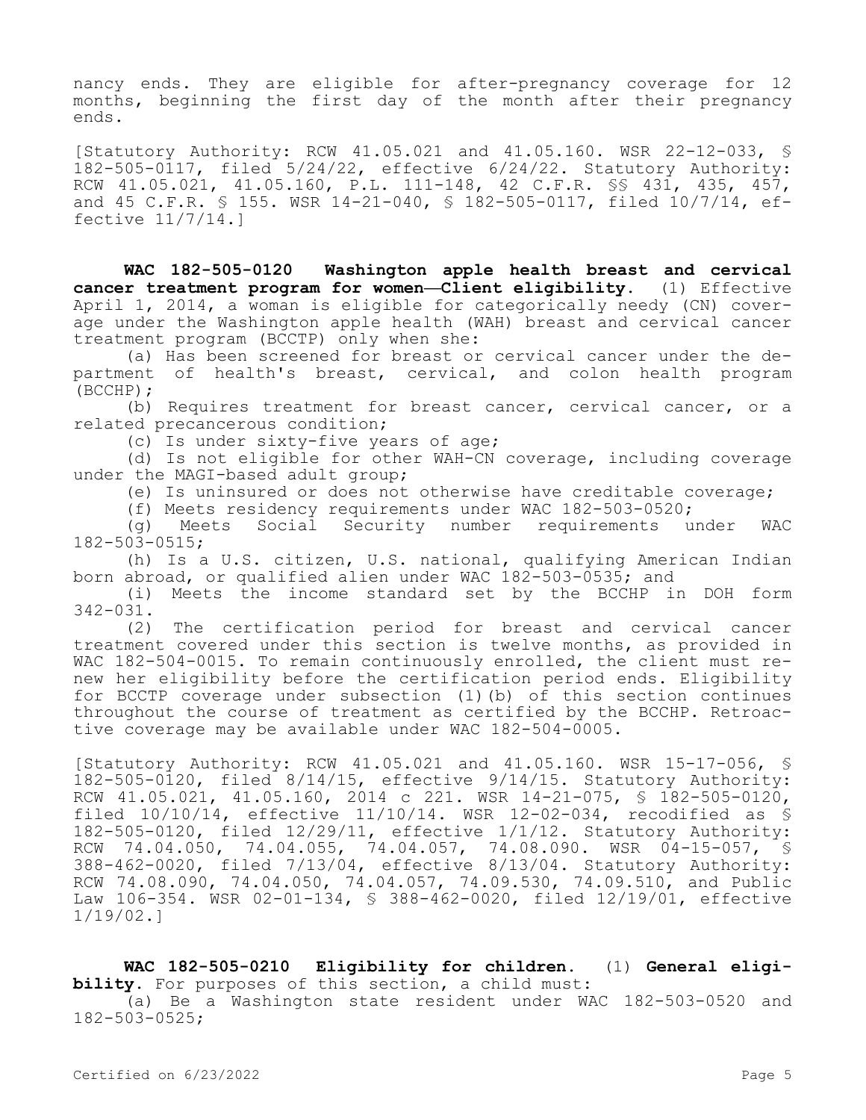nancy ends. They are eligible for after-pregnancy coverage for 12 months, beginning the first day of the month after their pregnancy ends.

[Statutory Authority: RCW 41.05.021 and 41.05.160. WSR 22-12-033, § 182-505-0117, filed 5/24/22, effective 6/24/22. Statutory Authority: RCW 41.05.021, 41.05.160, P.L. 111-148, 42 C.F.R. §§ 431, 435, 457, and 45 C.F.R. § 155. WSR 14-21-040, § 182-505-0117, filed 10/7/14, effective 11/7/14.]

**WAC 182-505-0120 Washington apple health breast and cervical cancer treatment program for women—Client eligibility.** (1) Effective April 1, 2014, a woman is eligible for categorically needy (CN) coverage under the Washington apple health (WAH) breast and cervical cancer treatment program (BCCTP) only when she:

(a) Has been screened for breast or cervical cancer under the department of health's breast, cervical, and colon health program (BCCHP);

(b) Requires treatment for breast cancer, cervical cancer, or a related precancerous condition;

(c) Is under sixty-five years of age;

(d) Is not eligible for other WAH-CN coverage, including coverage under the MAGI-based adult group;

(e) Is uninsured or does not otherwise have creditable coverage;

(f) Meets residency requirements under WAC 182-503-0520;

(g) Meets Social Security number requirements under WAC 182-503-0515;

(h) Is a U.S. citizen, U.S. national, qualifying American Indian born abroad, or qualified alien under WAC 182-503-0535; and

(i) Meets the income standard set by the BCCHP in DOH form 342-031.

(2) The certification period for breast and cervical cancer treatment covered under this section is twelve months, as provided in WAC 182-504-0015. To remain continuously enrolled, the client must renew her eligibility before the certification period ends. Eligibility for BCCTP coverage under subsection (1)(b) of this section continues throughout the course of treatment as certified by the BCCHP. Retroactive coverage may be available under WAC 182-504-0005.

[Statutory Authority: RCW 41.05.021 and 41.05.160. WSR 15-17-056, § 182-505-0120, filed 8/14/15, effective 9/14/15. Statutory Authority: RCW  $41.05.021$ ,  $41.05.160$ ,  $2014$  c  $221$ . WSR  $14-21-075$ ,  $\frac{1}{8}$   $182-505-0120$ , filed 10/10/14, effective 11/10/14. WSR 12-02-034, recodified as § 182-505-0120, filed 12/29/11, effective 1/1/12. Statutory Authority: RCW 74.04.050, 74.04.055, 74.04.057, 74.08.090. WSR 04-15-057, § 388-462-0020, filed 7/13/04, effective 8/13/04. Statutory Authority: RCW 74.08.090, 74.04.050, 74.04.057, 74.09.530, 74.09.510, and Public Law 106-354. WSR 02-01-134, § 388-462-0020, filed 12/19/01, effective 1/19/02.]

**WAC 182-505-0210 Eligibility for children.** (1) **General eligibility.** For purposes of this section, a child must: (a) Be a Washington state resident under WAC 182-503-0520 and 182-503-0525;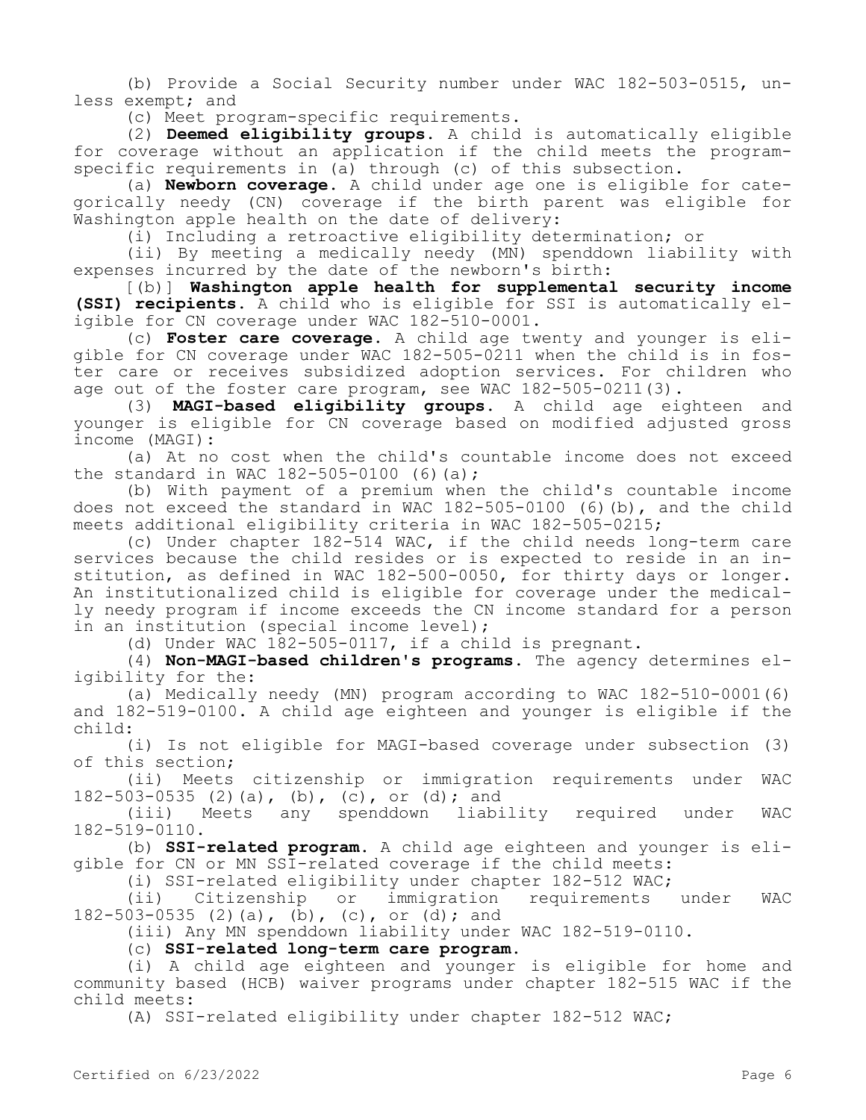(b) Provide a Social Security number under WAC 182-503-0515, unless exempt; and

(c) Meet program-specific requirements.

(2) **Deemed eligibility groups.** A child is automatically eligible for coverage without an application if the child meets the programspecific requirements in (a) through (c) of this subsection.

(a) **Newborn coverage.** A child under age one is eligible for categorically needy (CN) coverage if the birth parent was eligible for Washington apple health on the date of delivery:

(i) Including a retroactive eligibility determination; or

(ii) By meeting a medically needy (MN) spenddown liability with expenses incurred by the date of the newborn's birth:

[(b)] **Washington apple health for supplemental security income (SSI) recipients.** A child who is eligible for SSI is automatically eligible for CN coverage under WAC 182-510-0001.

(c) **Foster care coverage.** A child age twenty and younger is eligible for CN coverage under WAC 182-505-0211 when the child is in foster care or receives subsidized adoption services. For children who age out of the foster care program, see WAC 182-505-0211(3).

(3) **MAGI-based eligibility groups.** A child age eighteen and younger is eligible for CN coverage based on modified adjusted gross income (MAGI):

(a) At no cost when the child's countable income does not exceed the standard in WAC 182-505-0100 (6)(a);

(b) With payment of a premium when the child's countable income does not exceed the standard in WAC 182-505-0100 (6)(b), and the child meets additional eligibility criteria in WAC 182-505-0215;

(c) Under chapter 182-514 WAC, if the child needs long-term care services because the child resides or is expected to reside in an institution, as defined in WAC 182-500-0050, for thirty days or longer. An institutionalized child is eligible for coverage under the medically needy program if income exceeds the CN income standard for a person in an institution (special income level);

(d) Under WAC 182-505-0117, if a child is pregnant.

(4) **Non-MAGI-based children's programs.** The agency determines eligibility for the:

(a) Medically needy (MN) program according to WAC 182-510-0001(6) and 182-519-0100. A child age eighteen and younger is eligible if the child:

(i) Is not eligible for MAGI-based coverage under subsection (3) of this section;

(ii) Meets citizenship or immigration requirements under WAC 182-503-0535 (2)(a), (b), (c), or (d); and

(iii) Meets any spenddown liability required under WAC 182-519-0110.

(b) **SSI-related program.** A child age eighteen and younger is eligible for CN or MN SSI-related coverage if the child meets:

(i) SSI-related eligibility under chapter 182-512 WAC;<br>(ii) Citizenship or immigration requirements

(ii) Citizenship or immigration requirements under WAC 182-503-0535 (2)(a), (b), (c), or (d); and

(iii) Any MN spenddown liability under WAC 182-519-0110.

(c) **SSI-related long-term care program.**

(i) A child age eighteen and younger is eligible for home and community based (HCB) waiver programs under chapter 182-515 WAC if the child meets:

(A) SSI-related eligibility under chapter 182-512 WAC;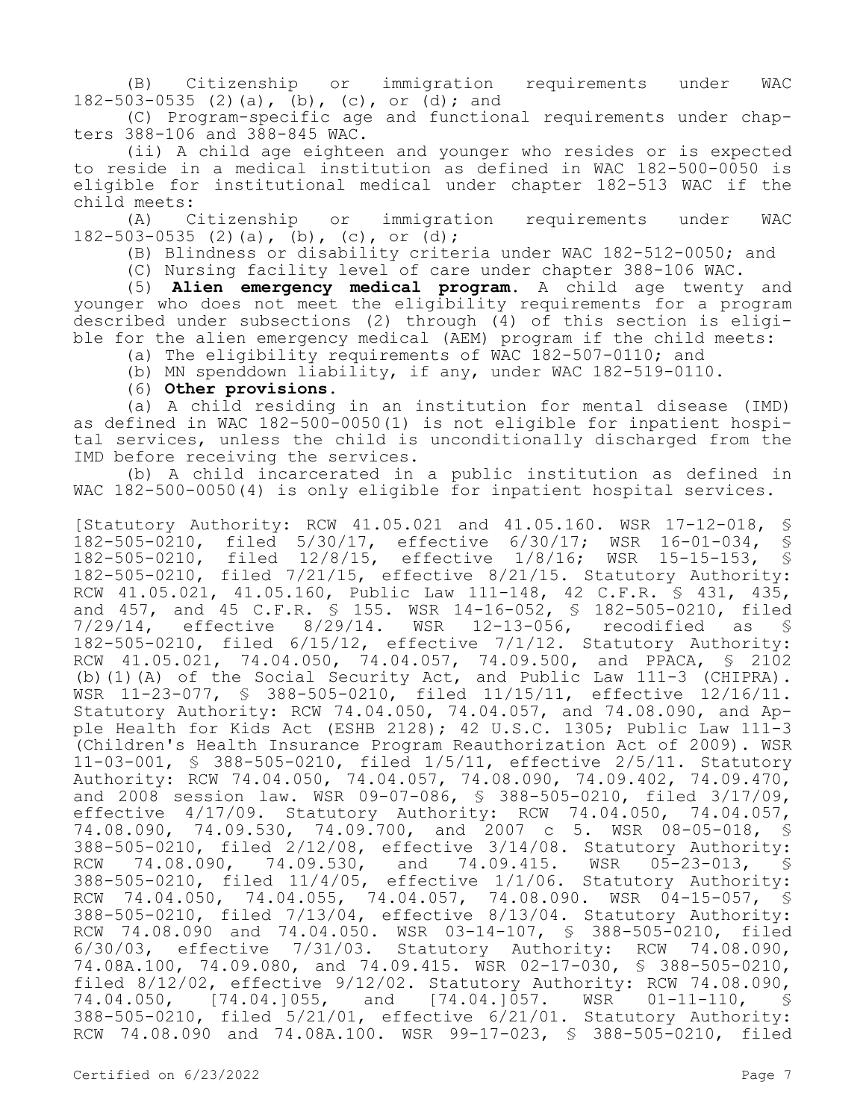(B) Citizenship or immigration requirements under WAC 182-503-0535 (2)(a), (b), (c), or (d); and

(C) Program-specific age and functional requirements under chapters 388-106 and 388-845 WAC.

(ii) A child age eighteen and younger who resides or is expected to reside in a medical institution as defined in WAC 182-500-0050 is eligible for institutional medical under chapter 182-513 WAC if the child meets:

(A) Citizenship or immigration requirements under WAC 182-503-0535 (2)(a), (b), (c), or (d);

(B) Blindness or disability criteria under WAC 182-512-0050; and

(C) Nursing facility level of care under chapter 388-106 WAC.

(5) **Alien emergency medical program.** A child age twenty and younger who does not meet the eligibility requirements for a program described under subsections (2) through (4) of this section is eligible for the alien emergency medical (AEM) program if the child meets:

(a) The eligibility requirements of WAC 182-507-0110; and

(b) MN spenddown liability, if any, under WAC 182-519-0110.

## (6) **Other provisions.**

(a) A child residing in an institution for mental disease (IMD) as defined in WAC 182-500-0050(1) is not eligible for inpatient hospital services, unless the child is unconditionally discharged from the IMD before receiving the services.

(b) A child incarcerated in a public institution as defined in WAC 182-500-0050(4) is only eligible for inpatient hospital services.

[Statutory Authority: RCW 41.05.021 and 41.05.160. WSR 17-12-018, § 182-505-0210, filed 5/30/17, effective 6/30/17; WSR 16-01-034, § 182-505-0210, filed 12/8/15, effective 1/8/16; WSR 15-15-153, § 182-505-0210, filed 7/21/15, effective 8/21/15. Statutory Authority: RCW 41.05.021, 41.05.160, Public Law 111-148, 42 C.F.R. § 431, 435, and 457, and 45 C.F.R. § 155. WSR 14-16-052, § 182-505-0210, filed 7/29/14, effective 8/29/14. WSR 12-13-056, recodified as § 182-505-0210, filed 6/15/12, effective 7/1/12. Statutory Authority: RCW 41.05.021, 74.04.050, 74.04.057, 74.09.500, and PPACA, § 2102 (b)(1)(A) of the Social Security Act, and Public Law 111-3 (CHIPRA). WSR 11-23-077, § 388-505-0210, filed 11/15/11, effective 12/16/11. Statutory Authority: RCW 74.04.050, 74.04.057, and 74.08.090, and Apple Health for Kids Act (ESHB 2128); 42 U.S.C. 1305; Public Law 111-3 (Children's Health Insurance Program Reauthorization Act of 2009). WSR 11-03-001, § 388-505-0210, filed 1/5/11, effective 2/5/11. Statutory Authority: RCW 74.04.050, 74.04.057, 74.08.090, 74.09.402, 74.09.470, and 2008 session law. WSR 09-07-086, § 388-505-0210, filed 3/17/09, effective 4/17/09. Statutory Authority: RCW 74.04.050, 74.04.057, 74.08.090, 74.09.530, 74.09.700, and 2007 c 5. WSR 08-05-018, § 388-505-0210, filed 2/12/08, effective 3/14/08. Statutory Authority: RCW 74.08.090, 74.09.530, and 74.09.415. WSR 05-23-013, § 388-505-0210, filed 11/4/05, effective 1/1/06. Statutory Authority: RCW 74.04.050, 74.04.055, 74.04.057, 74.08.090. WSR 04-15-057, § 388-505-0210, filed 7/13/04, effective 8/13/04. Statutory Authority: RCW 74.08.090 and 74.04.050. WSR 03-14-107, § 388-505-0210, filed 6/30/03, effective 7/31/03. Statutory Authority: RCW 74.08.090, 74.08A.100, 74.09.080, and 74.09.415. WSR 02-17-030, § 388-505-0210, filed 8/12/02, effective 9/12/02. Statutory Authority: RCW 74.08.090, 74.04.050, [74.04.]055, and [74.04.]057. WSR 01-11-110, § 388-505-0210, filed 5/21/01, effective 6/21/01. Statutory Authority: RCW 74.08.090 and 74.08A.100. WSR 99-17-023, § 388-505-0210, filed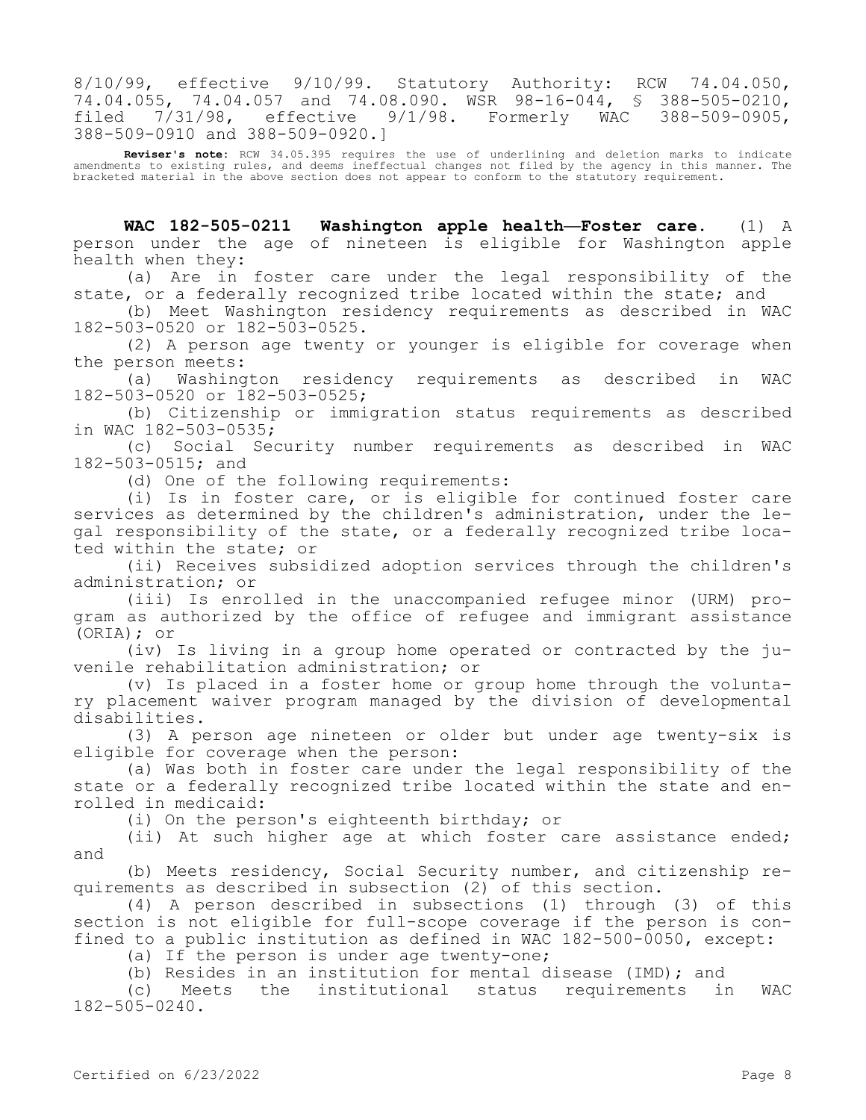8/10/99, effective 9/10/99. Statutory Authority: RCW 74.04.050, 74.04.055, 74.04.057 and 74.08.090. WSR 98-16-044, \$ 388-505-0210,<br>filed 7/31/98, effective 9/1/98. Formerly WAC 388-509-0905, filed  $7/31/98$ , effective  $9/1/98$ . 388-509-0910 and 388-509-0920.]

**Reviser's note:** RCW 34.05.395 requires the use of underlining and deletion marks to indicate amendments to existing rules, and deems ineffectual changes not filed by the agency in this manner. The bracketed material in the above section does not appear to conform to the statutory requirement.

**WAC 182-505-0211 Washington apple health—Foster care.** (1) A person under the age of nineteen is eligible for Washington apple health when they:

(a) Are in foster care under the legal responsibility of the state, or a federally recognized tribe located within the state; and

(b) Meet Washington residency requirements as described in WAC 182-503-0520 or 182-503-0525.

(2) A person age twenty or younger is eligible for coverage when the person meets:

(a) Washington residency requirements as described in WAC 182-503-0520 or 182-503-0525;

(b) Citizenship or immigration status requirements as described in WAC 182-503-0535;

(c) Social Security number requirements as described in WAC 182-503-0515; and

(d) One of the following requirements:

(i) Is in foster care, or is eligible for continued foster care services as determined by the children's administration, under the legal responsibility of the state, or a federally recognized tribe located within the state; or

(ii) Receives subsidized adoption services through the children's administration; or

(iii) Is enrolled in the unaccompanied refugee minor (URM) program as authorized by the office of refugee and immigrant assistance (ORIA); or

(iv) Is living in a group home operated or contracted by the juvenile rehabilitation administration; or

(v) Is placed in a foster home or group home through the voluntary placement waiver program managed by the division of developmental disabilities.

(3) A person age nineteen or older but under age twenty-six is eligible for coverage when the person:

(a) Was both in foster care under the legal responsibility of the state or a federally recognized tribe located within the state and enrolled in medicaid:

(i) On the person's eighteenth birthday; or

(ii) At such higher age at which foster care assistance ended; and

(b) Meets residency, Social Security number, and citizenship requirements as described in subsection (2) of this section.

(4) A person described in subsections (1) through (3) of this section is not eligible for full-scope coverage if the person is confined to a public institution as defined in WAC 182-500-0050, except:

(a) If the person is under age twenty-one;

(b) Resides in an institution for mental disease (IMD); and

(c) Meets the institutional status requirements in WAC 182-505-0240.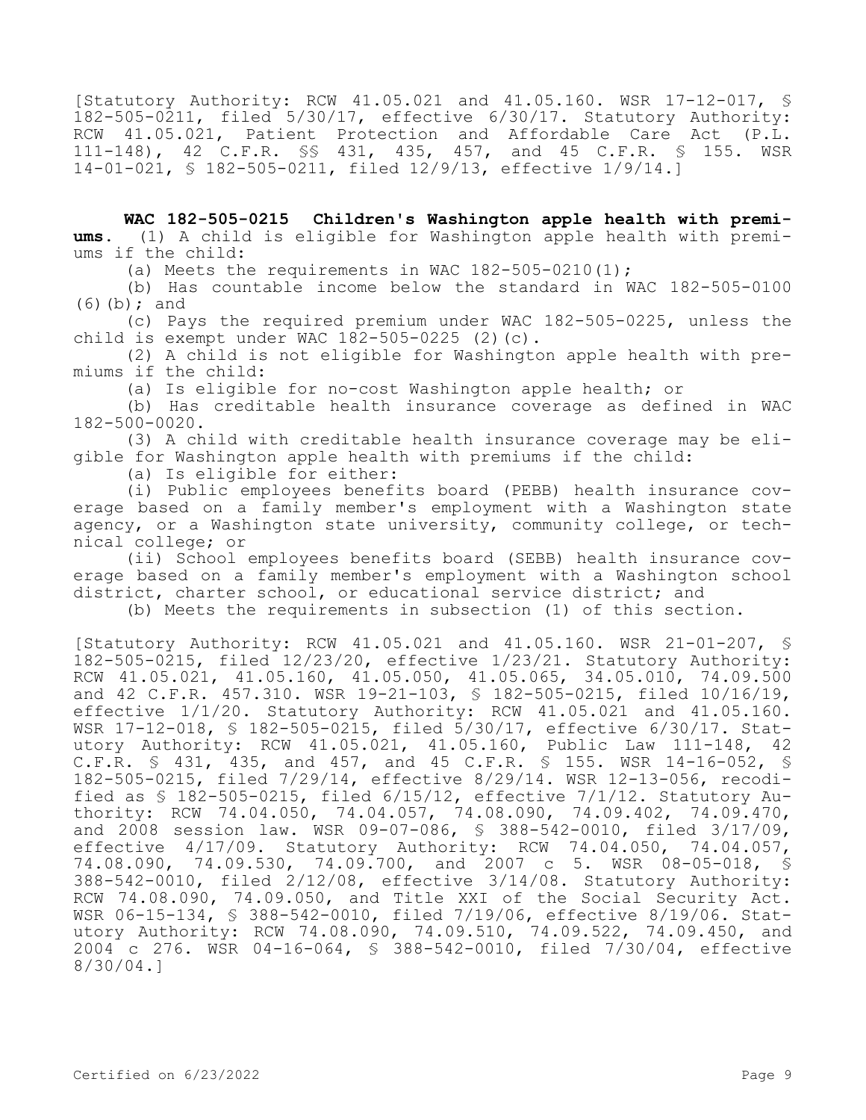[Statutory Authority: RCW 41.05.021 and 41.05.160. WSR 17-12-017, § 182-505-0211, filed 5/30/17, effective 6/30/17. Statutory Authority: RCW 41.05.021, Patient Protection and Affordable Care Act (P.L. 111-148), 42 C.F.R. §§ 431, 435, 457, and 45 C.F.R. § 155. WSR 14-01-021, § 182-505-0211, filed 12/9/13, effective 1/9/14.]

**WAC 182-505-0215 Children's Washington apple health with premiums.** (1) A child is eligible for Washington apple health with premiums if the child:

(a) Meets the requirements in WAC  $182-505-0210(1)$ ;

(b) Has countable income below the standard in WAC 182-505-0100 (6)(b); and

(c) Pays the required premium under WAC 182-505-0225, unless the child is exempt under WAC  $182-505-0225$  (2)(c).

(2) A child is not eligible for Washington apple health with premiums if the child:

(a) Is eligible for no-cost Washington apple health; or

(b) Has creditable health insurance coverage as defined in WAC 182-500-0020.

(3) A child with creditable health insurance coverage may be eligible for Washington apple health with premiums if the child:

(a) Is eligible for either:

(i) Public employees benefits board (PEBB) health insurance coverage based on a family member's employment with a Washington state agency, or a Washington state university, community college, or technical college; or

(ii) School employees benefits board (SEBB) health insurance coverage based on a family member's employment with a Washington school district, charter school, or educational service district; and

(b) Meets the requirements in subsection (1) of this section.

[Statutory Authority: RCW 41.05.021 and 41.05.160. WSR 21-01-207, § 182-505-0215, filed 12/23/20, effective 1/23/21. Statutory Authority: RCW 41.05.021, 41.05.160, 41.05.050, 41.05.065, 34.05.010, 74.09.500 and 42 C.F.R. 457.310. WSR 19-21-103, § 182-505-0215, filed 10/16/19, effective 1/1/20. Statutory Authority: RCW 41.05.021 and 41.05.160. WSR 17-12-018, § 182-505-0215, filed 5/30/17, effective 6/30/17. Statutory Authority: RCW 41.05.021, 41.05.160, Public Law 111-148, 42 C.F.R. § 431, 435, and 457, and 45 C.F.R. § 155. WSR 14-16-052, § 182-505-0215, filed 7/29/14, effective 8/29/14. WSR 12-13-056, recodified as § 182-505-0215, filed 6/15/12, effective 7/1/12. Statutory Authority: RCW 74.04.050, 74.04.057, 74.08.090, 74.09.402, 74.09.470, and 2008 session law. WSR 09-07-086, § 388-542-0010, filed 3/17/09, effective 4/17/09. Statutory Authority: RCW 74.04.050, 74.04.057, 74.08.090, 74.09.530, 74.09.700, and 2007 c 5. WSR 08-05-018, § 388-542-0010, filed 2/12/08, effective 3/14/08. Statutory Authority: RCW 74.08.090, 74.09.050, and Title XXI of the Social Security Act. WSR 06-15-134, § 388-542-0010, filed 7/19/06, effective 8/19/06. Statutory Authority: RCW 74.08.090, 74.09.510, 74.09.522, 74.09.450, and 2004 c 276. WSR 04-16-064, § 388-542-0010, filed 7/30/04, effective 8/30/04.]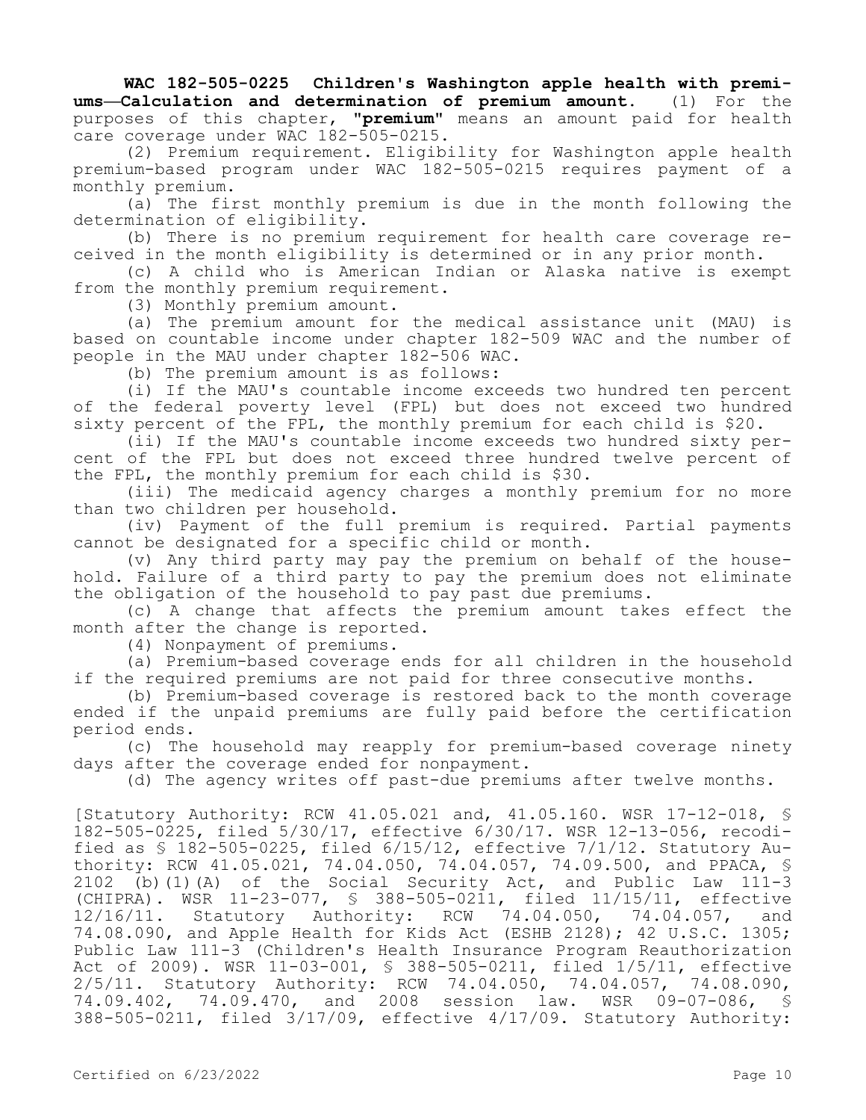**WAC 182-505-0225 Children's Washington apple health with premiums—Calculation and determination of premium amount.** (1) For the purposes of this chapter, **"premium"** means an amount paid for health care coverage under WAC 182-505-0215.

(2) Premium requirement. Eligibility for Washington apple health premium-based program under WAC 182-505-0215 requires payment of a monthly premium.

(a) The first monthly premium is due in the month following the determination of eligibility.

(b) There is no premium requirement for health care coverage received in the month eligibility is determined or in any prior month.

(c) A child who is American Indian or Alaska native is exempt from the monthly premium requirement.

(3) Monthly premium amount.

(a) The premium amount for the medical assistance unit (MAU) is based on countable income under chapter 182-509 WAC and the number of people in the MAU under chapter 182-506 WAC.

(b) The premium amount is as follows:

(i) If the MAU's countable income exceeds two hundred ten percent of the federal poverty level (FPL) but does not exceed two hundred sixty percent of the FPL, the monthly premium for each child is \$20.

(ii) If the MAU's countable income exceeds two hundred sixty percent of the FPL but does not exceed three hundred twelve percent of the FPL, the monthly premium for each child is \$30.

(iii) The medicaid agency charges a monthly premium for no more than two children per household.

(iv) Payment of the full premium is required. Partial payments cannot be designated for a specific child or month.

(v) Any third party may pay the premium on behalf of the household. Failure of a third party to pay the premium does not eliminate the obligation of the household to pay past due premiums.

(c) A change that affects the premium amount takes effect the month after the change is reported.

(4) Nonpayment of premiums.

(a) Premium-based coverage ends for all children in the household if the required premiums are not paid for three consecutive months.

(b) Premium-based coverage is restored back to the month coverage ended if the unpaid premiums are fully paid before the certification period ends.

(c) The household may reapply for premium-based coverage ninety days after the coverage ended for nonpayment.

(d) The agency writes off past-due premiums after twelve months.

[Statutory Authority: RCW 41.05.021 and, 41.05.160. WSR 17-12-018, § 182-505-0225, filed 5/30/17, effective 6/30/17. WSR 12-13-056, recodified as § 182-505-0225, filed 6/15/12, effective 7/1/12. Statutory Authority: RCW 41.05.021, 74.04.050, 74.04.057, 74.09.500, and PPACA, § 2102 (b)(1)(A) of the Social Security Act, and Public Law 111-3 (CHIPRA). WSR 11-23-077, § 388-505-0211, filed 11/15/11, effective 12/16/11. Statutory Authority: RCW 74.04.050, 74.04.057, and 74.08.090, and Apple Health for Kids Act (ESHB 2128); 42 U.S.C. 1305; Public Law 111-3 (Children's Health Insurance Program Reauthorization Act of 2009). WSR 11-03-001, § 388-505-0211, filed 1/5/11, effective 2/5/11. Statutory Authority: RCW 74.04.050, 74.04.057, 74.08.090, 74.09.402, 74.09.470, and 2008 session law. WSR 09-07-086, 388-505-0211, filed 3/17/09, effective 4/17/09. Statutory Authority: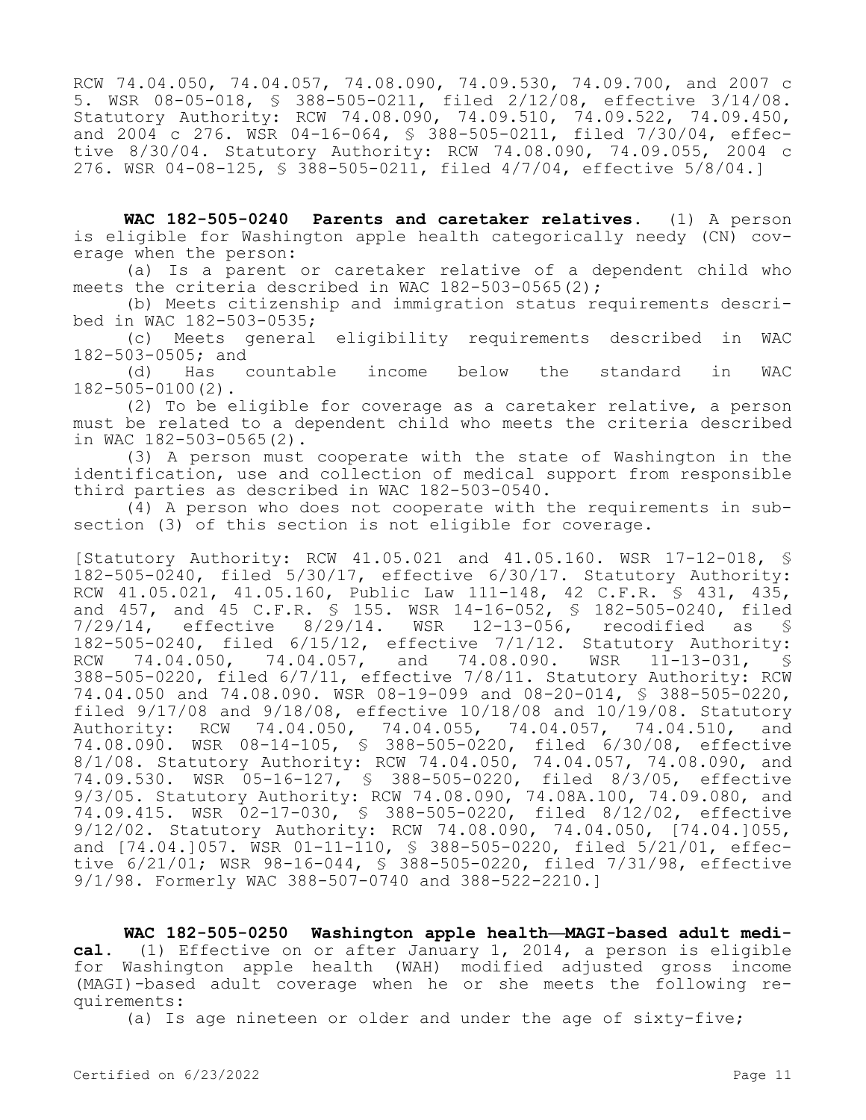RCW 74.04.050, 74.04.057, 74.08.090, 74.09.530, 74.09.700, and 2007 c 5. WSR 08-05-018, § 388-505-0211, filed 2/12/08, effective 3/14/08. Statutory Authority: RCW 74.08.090, 74.09.510, 74.09.522, 74.09.450, and 2004 c 276. WSR 04-16-064, § 388-505-0211, filed 7/30/04, effective 8/30/04. Statutory Authority: RCW 74.08.090, 74.09.055, 2004 c 276. WSR 04-08-125, § 388-505-0211, filed 4/7/04, effective 5/8/04.]

**WAC 182-505-0240 Parents and caretaker relatives.** (1) A person is eligible for Washington apple health categorically needy (CN) coverage when the person:

(a) Is a parent or caretaker relative of a dependent child who meets the criteria described in WAC  $182-503-0565(2)$ ;

(b) Meets citizenship and immigration status requirements described in WAC 182-503-0535;

(c) Meets general eligibility requirements described in WAC 182-503-0505; and<br>d) Has

(d) Has countable income below the standard in WAC 182-505-0100(2).

(2) To be eligible for coverage as a caretaker relative, a person must be related to a dependent child who meets the criteria described in WAC 182-503-0565(2).

(3) A person must cooperate with the state of Washington in the identification, use and collection of medical support from responsible third parties as described in WAC 182-503-0540.

(4) A person who does not cooperate with the requirements in subsection (3) of this section is not eligible for coverage.

[Statutory Authority: RCW 41.05.021 and 41.05.160. WSR 17-12-018, § 182-505-0240, filed 5/30/17, effective 6/30/17. Statutory Authority: RCW 41.05.021, 41.05.160, Public Law 111-148, 42 C.F.R. § 431, 435, and 457, and 45 C.F.R. § 155. WSR 14-16-052, § 182-505-0240, filed 7/29/14, effective 8/29/14. WSR 12-13-056, recodified as § 182-505-0240, filed 6/15/12, effective 7/1/12. Statutory Authority:<br>RCW 74.04.050, 74.04.057, and 74.08.090. WSR 11-13-031, \$ RCW 74.04.050, 74.04.057, and 74.08.090. WSR 11-13-031, § 388-505-0220, filed 6/7/11, effective 7/8/11. Statutory Authority: RCW 74.04.050 and 74.08.090. WSR 08-19-099 and 08-20-014, § 388-505-0220, filed 9/17/08 and 9/18/08, effective 10/18/08 and 10/19/08. Statutory Authority: RCW 74.04.050, 74.04.055, 74.04.057, 74.04.510, and 74.08.090. WSR 08-14-105, § 388-505-0220, filed 6/30/08, effective 8/1/08. Statutory Authority: RCW 74.04.050, 74.04.057, 74.08.090, and 74.09.530. WSR 05-16-127, § 388-505-0220, filed 8/3/05, effective 9/3/05. Statutory Authority: RCW 74.08.090, 74.08A.100, 74.09.080, and 74.09.415. WSR 02-17-030, § 388-505-0220, filed 8/12/02, effective 9/12/02. Statutory Authority: RCW 74.08.090, 74.04.050, [74.04.]055, and [74.04.]057. WSR 01-11-110, § 388-505-0220, filed 5/21/01, effective 6/21/01; WSR 98-16-044, § 388-505-0220, filed 7/31/98, effective 9/1/98. Formerly WAC 388-507-0740 and 388-522-2210.]

**WAC 182-505-0250 Washington apple health—MAGI-based adult medical.** (1) Effective on or after January 1, 2014, a person is eligible for Washington apple health (WAH) modified adjusted gross income (MAGI)-based adult coverage when he or she meets the following requirements:

(a) Is age nineteen or older and under the age of sixty-five;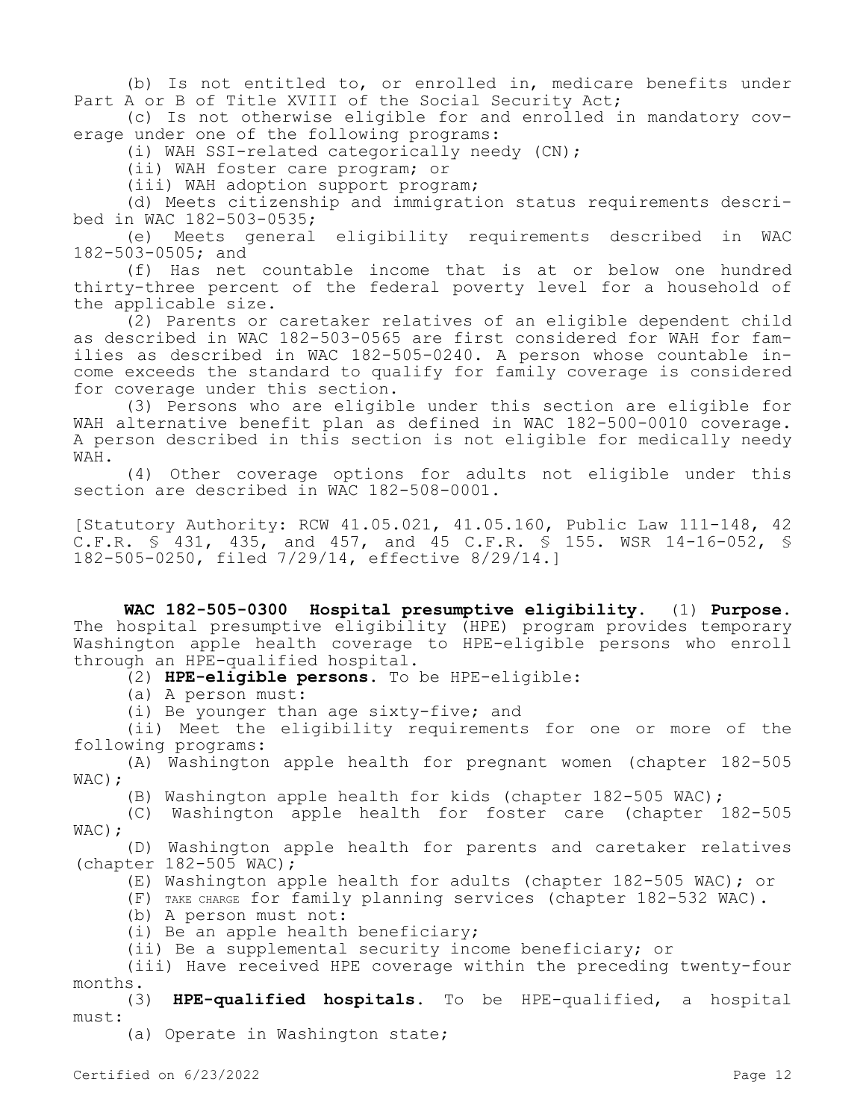(b) Is not entitled to, or enrolled in, medicare benefits under Part A or B of Title XVIII of the Social Security Act;

(c) Is not otherwise eligible for and enrolled in mandatory coverage under one of the following programs:

(i) WAH SSI-related categorically needy (CN);

(ii) WAH foster care program; or

(iii) WAH adoption support program;

(d) Meets citizenship and immigration status requirements described in WAC 182-503-0535;

(e) Meets general eligibility requirements described in WAC 182-503-0505; and

(f) Has net countable income that is at or below one hundred thirty-three percent of the federal poverty level for a household of the applicable size.

(2) Parents or caretaker relatives of an eligible dependent child as described in WAC 182-503-0565 are first considered for WAH for families as described in WAC 182-505-0240. A person whose countable income exceeds the standard to qualify for family coverage is considered for coverage under this section.

(3) Persons who are eligible under this section are eligible for WAH alternative benefit plan as defined in WAC 182-500-0010 coverage. A person described in this section is not eligible for medically needy WAH.

(4) Other coverage options for adults not eligible under this section are described in WAC 182-508-0001.

[Statutory Authority: RCW 41.05.021, 41.05.160, Public Law 111-148, 42 C.F.R. § 431, 435, and 457, and 45 C.F.R. § 155. WSR 14-16-052, § 182-505-0250, filed 7/29/14, effective 8/29/14.]

**WAC 182-505-0300 Hospital presumptive eligibility.** (1) **Purpose.**  The hospital presumptive eligibility (HPE) program provides temporary Washington apple health coverage to HPE-eligible persons who enroll through an HPE-qualified hospital.

(2) **HPE-eligible persons.** To be HPE-eligible:

(a) A person must:

(i) Be younger than age sixty-five; and

(ii) Meet the eligibility requirements for one or more of the following programs:

(A) Washington apple health for pregnant women (chapter 182-505 WAC);

(B) Washington apple health for kids (chapter 182-505 WAC);

(C) Washington apple health for foster care (chapter 182-505 WAC) ;

(D) Washington apple health for parents and caretaker relatives (chapter  $182-505$  WAC);

(E) Washington apple health for adults (chapter 182-505 WAC); or

(F) TAKE CHARGE for family planning services (chapter 182-532 WAC).

(b) A person must not:

(i) Be an apple health beneficiary;

(ii) Be a supplemental security income beneficiary; or

(iii) Have received HPE coverage within the preceding twenty-four months.

(3) **HPE-qualified hospitals.** To be HPE-qualified, a hospital must:

(a) Operate in Washington state;